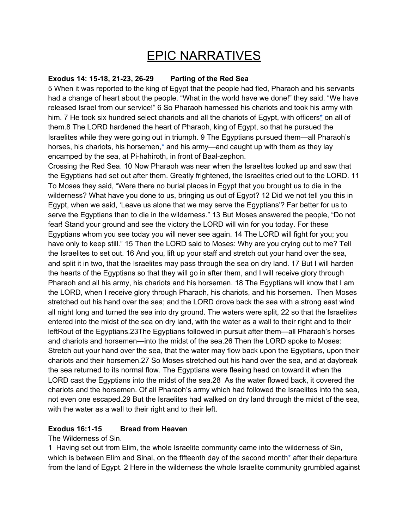# EPIC NARRATIVES

### **Exodus 14: 15-18, 21-23, 26-29 Parting of the Red Sea**

5 When it was reported to the king of Egypt that the people had fled, Pharaoh and his servants had a change of heart about the people. "What in the world have we done!" they said. "We have released Israel from our service!" 6 So Pharaoh harnessed his chariots and took his army with him. 7 He took six hundred select chariots and all the chariots of Egypt, with officers<sup>[\\*](https://bible.usccb.org/bible/exodus/14#02014007-1)</sup> on all of them.8 The LORD hardened the heart of Pharaoh, king of Egypt, so that he pursued the Israelites while they were going out in triumph. 9 The Egyptians pursued them—all Pharaoh's horses, his chariots, his horsemen, $*$  and his army—and caught up with them as they lay encamped by the sea, at Pi-hahiroth, in front of Baal-zephon.

Crossing the Red Sea. 10 Now Pharaoh was near when the Israelites looked up and saw that the Egyptians had set out after them. Greatly frightened, the Israelites cried out to the LORD. 11 To Moses they said, "Were there no burial places in Egypt that you brought us to die in the wilderness? What have you done to us, bringing us out of Egypt? 12 Did we not tell you this in Egypt, when we said, 'Leave us alone that we may serve the Egyptians'? Far better for us to serve the Egyptians than to die in the wilderness." 13 But Moses answered the people, "Do not fear! Stand your ground and see the victory the LORD will win for you today. For these Egyptians whom you see today you will never see again. 14 The LORD will fight for you; you have only to keep still." 15 Then the LORD said to Moses: Why are you crying out to me? Tell the Israelites to set out. 16 And you, lift up your staff and stretch out your hand over the sea, and split it in two, that the Israelites may pass through the sea on dry land. 17 But I will harden the hearts of the Egyptians so that they will go in after them, and I will receive glory through Pharaoh and all his army, his chariots and his horsemen. 18 The Egyptians will know that I am the LORD, when I receive glory through Pharaoh, his chariots, and his horsemen. Then Moses stretched out his hand over the sea; and the LORD drove back the sea with a strong east wind all night long and turned the sea into dry ground. The waters were split, 22 so that the Israelites entered into the midst of the sea on dry land, with the water as a wall to their right and to their leftRout of the Egyptians.23The Egyptians followed in pursuit after them—all Pharaoh's horses and chariots and horsemen—into the midst of the sea.26 Then the LORD spoke to Moses: Stretch out your hand over the sea, that the water may flow back upon the Egyptians, upon their chariots and their horsemen.27 So Moses stretched out his hand over the sea, and at daybreak the sea returned to its normal flow. The Egyptians were fleeing head on toward it when the LORD cast the Egyptians into the midst of the sea.28 As the water flowed back, it covered the chariots and the horsemen. Of all Pharaoh's army which had followed the Israelites into the sea, not even one escaped.29 But the Israelites had walked on dry land through the midst of the sea, with the water as a wall to their right and to their left.

# **Exodus 16:1-15 Bread from Heaven**

#### The Wilderness of Sin.

1 Having set out from Elim, the whole Israelite community came into the wilderness of Sin, which is between Elim and Sinai, on the fifteenth day of the second mont[h\\*](https://bible.usccb.org/bible/exodus/16#02016001-1) after their departure from the land of Egypt. 2 Here in the wilderness the whole Israelite community grumbled against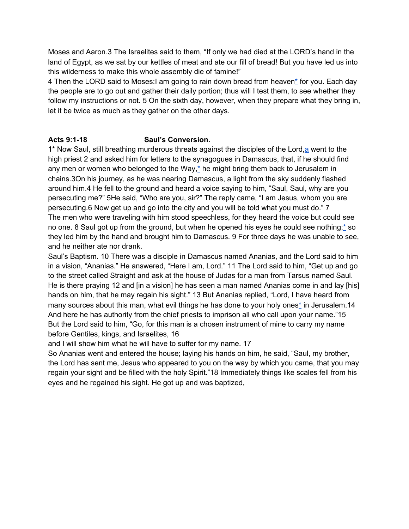Moses and Aaron.3 The Israelites said to them, "If only we had died at the LORD's hand in the land of Egypt, as we sat by our kettles of meat and ate our fill of bread! But you have led us into this wilderness to make this whole assembly die of famine!"

4 Then the LORD said to Moses:I am going to rain down bread from heaven[\\*](https://bible.usccb.org/bible/exodus/16#02016004-1) for you. Each day the people are to go out and gather their daily portion; thus will I test them, to see whether they follow my instructions or not. 5 On the sixth day, however, when they prepare what they bring in, let it be twice as much as they gather on the other days.

## **Acts 9:1-18 Saul's Conversion.**

1<sup>\*</sup> Now Saul, still breathing murderous threats against the disciples of the Lord, a went to the high priest 2 and asked him for letters to the synagogues in Damascus, that, if he should find any men or women who belonged to the Way, $*$  he might bring them back to Jerusalem in chains.3On his journey, as he was nearing Damascus, a light from the sky suddenly flashed around him.4 He fell to the ground and heard a voice saying to him, "Saul, Saul, why are you persecuting me?" 5He said, "Who are you, sir?" The reply came, "I am Jesus, whom you are persecuting.6 Now get up and go into the city and you will be told what you must do." 7 The men who were traveling with him stood speechless, for they heard the voice but could see no one. 8 Saul got up from the ground, but when he opened his eyes he could see nothing;[\\*](https://bible.usccb.org/bible/acts/9#52009008-1) so they led him by the hand and brought him to Damascus. 9 For three days he was unable to see, and he neither ate nor drank.

Saul's Baptism. 10 There was a disciple in Damascus named Ananias, and the Lord said to him in a vision, "Ananias." He answered, "Here I am, Lord." 11 The Lord said to him, "Get up and go to the street called Straight and ask at the house of Judas for a man from Tarsus named Saul. He is there praying 12 and [in a vision] he has seen a man named Ananias come in and lay [his] hands on him, that he may regain his sight." 13 But Ananias replied, "Lord, I have heard from many sources about this man, what evil things he has done to your holy one[s\\*](https://bible.usccb.org/bible/acts/9#52009013-1) in Jerusalem.14 And here he has authority from the chief priests to imprison all who call upon your name."15 But the Lord said to him, "Go, for this man is a chosen instrument of mine to carry my name before Gentiles, kings, and Israelites, 16

and I will show him what he will have to suffer for my name. 17

So Ananias went and entered the house; laying his hands on him, he said, "Saul, my brother, the Lord has sent me, Jesus who appeared to you on the way by which you came, that you may regain your sight and be filled with the holy Spirit."18 Immediately things like scales fell from his eyes and he regained his sight. He got up and was baptized,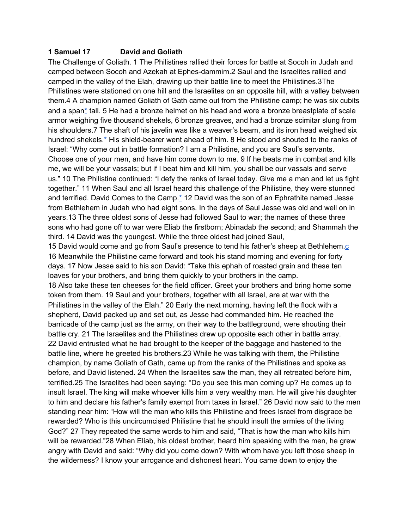#### **1 Samuel 17 David and Goliath**

The Challenge of Goliath. 1 The Philistines rallied their forces for battle at Socoh in Judah and camped between Socoh and Azekah at Ephes-dammim.2 Saul and the Israelites rallied and camped in the valley of the Elah, drawing up their battle line to meet the Philistines.3The Philistines were stationed on one hill and the Israelites on an opposite hill, with a valley between them.4 A champion named Goliath of Gath came out from the Philistine camp; he was six cubits and a span[\\*](https://bible.usccb.org/bible/1samuel/17#09017004-1) tall. 5 He had a bronze helmet on his head and wore a bronze breastplate of scale armor weighing five thousand shekels, 6 bronze greaves, and had a bronze scimitar slung from his shoulders.7 The shaft of his javelin was like a weaver's beam, and its iron head weighed six hundred shekels.[\\*](https://bible.usccb.org/bible/1samuel/17#09017007-1) His shield-bearer went ahead of him. 8 He stood and shouted to the ranks of Israel: "Why come out in battle formation? I am a Philistine, and you are Saul's servants. Choose one of your men, and have him come down to me. 9 If he beats me in combat and kills me, we will be your vassals; but if I beat him and kill him, you shall be our vassals and serve us." 10 The Philistine continued: "I defy the ranks of Israel today. Give me a man and let us fight together." 11 When Saul and all Israel heard this challenge of the Philistine, they were stunned and terrified. David Comes to the Camp. $*$  12 David was the son of an Ephrathite named Jesse from Bethlehem in Judah who had eight sons. In the days of Saul Jesse was old and well on in years.13 The three oldest sons of Jesse had followed Saul to war; the names of these three sons who had gone off to war were Eliab the firstborn; Abinadab the second; and Shammah the third. 14 David was the youngest. While the three oldest had joined Saul,

15 David would come and go from Saul's presence to tend his father's sheep at Bethlehem.[c](https://bible.usccb.org/bible/1samuel/17#09017015-c) 16 Meanwhile the Philistine came forward and took his stand morning and evening for forty days. 17 Now Jesse said to his son David: "Take this ephah of roasted grain and these ten loaves for your brothers, and bring them quickly to your brothers in the camp.

18 Also take these ten cheeses for the field officer. Greet your brothers and bring home some token from them. 19 Saul and your brothers, together with all Israel, are at war with the Philistines in the valley of the Elah." 20 Early the next morning, having left the flock with a shepherd, David packed up and set out, as Jesse had commanded him. He reached the barricade of the camp just as the army, on their way to the battleground, were shouting their battle cry. 21 The Israelites and the Philistines drew up opposite each other in battle array. 22 David entrusted what he had brought to the keeper of the baggage and hastened to the battle line, where he greeted his brothers.23 While he was talking with them, the Philistine champion, by name Goliath of Gath, came up from the ranks of the Philistines and spoke as before, and David listened. 24 When the Israelites saw the man, they all retreated before him, terrified.25 The Israelites had been saying: "Do you see this man coming up? He comes up to insult Israel. The king will make whoever kills him a very wealthy man. He will give his daughter to him and declare his father's family exempt from taxes in Israel." 26 David now said to the men standing near him: "How will the man who kills this Philistine and frees Israel from disgrace be rewarded? Who is this uncircumcised Philistine that he should insult the armies of the living God?" 27 They repeated the same words to him and said, "That is how the man who kills him will be rewarded."28 When Eliab, his oldest brother, heard him speaking with the men, he grew angry with David and said: "Why did you come down? With whom have you left those sheep in the wilderness? I know your arrogance and dishonest heart. You came down to enjoy the